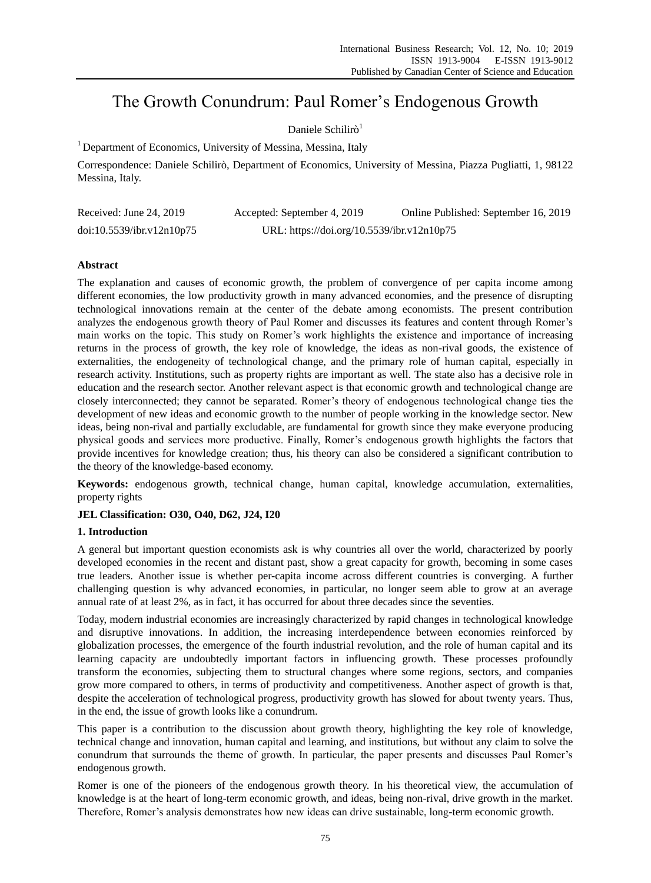# The Growth Conundrum: Paul Romer's Endogenous Growth

# Daniele Schilir<sub>d</sub><sup>1</sup>

<sup>1</sup> Department of Economics, University of Messina, Messina, Italy

Correspondence: Daniele Schilirò, Department of Economics, University of Messina, Piazza Pugliatti, 1, 98122 Messina, Italy.

| Received: June 24, 2019   | Accepted: September 4, 2019                | Online Published: September 16, 2019 |
|---------------------------|--------------------------------------------|--------------------------------------|
| doi:10.5539/ibr.v12n10p75 | URL: https://doi.org/10.5539/ibr.v12n10p75 |                                      |

## **Abstract**

The explanation and causes of economic growth, the problem of convergence of per capita income among different economies, the low productivity growth in many advanced economies, and the presence of disrupting technological innovations remain at the center of the debate among economists. The present contribution analyzes the endogenous growth theory of Paul Romer and discusses its features and content through Romer's main works on the topic. This study on Romer's work highlights the existence and importance of increasing returns in the process of growth, the key role of knowledge, the ideas as non-rival goods, the existence of externalities, the endogeneity of technological change, and the primary role of human capital, especially in research activity. Institutions, such as property rights are important as well. The state also has a decisive role in education and the research sector. Another relevant aspect is that economic growth and technological change are closely interconnected; they cannot be separated. Romer's theory of endogenous technological change ties the development of new ideas and economic growth to the number of people working in the knowledge sector. New ideas, being non-rival and partially excludable, are fundamental for growth since they make everyone producing physical goods and services more productive. Finally, Romer's endogenous growth highlights the factors that provide incentives for knowledge creation; thus, his theory can also be considered a significant contribution to the theory of the knowledge-based economy.

**Keywords:** endogenous growth, technical change, human capital, knowledge accumulation, externalities, property rights

## **JEL Classification: O30, O40, D62, J24, I20**

## **1. Introduction**

A general but important question economists ask is why countries all over the world, characterized by poorly developed economies in the recent and distant past, show a great capacity for growth, becoming in some cases true leaders. Another issue is whether per-capita income across different countries is converging. A further challenging question is why advanced economies, in particular, no longer seem able to grow at an average annual rate of at least 2%, as in fact, it has occurred for about three decades since the seventies.

Today, modern industrial economies are increasingly characterized by rapid changes in technological knowledge and disruptive innovations. In addition, the increasing interdependence between economies reinforced by globalization processes, the emergence of the fourth industrial revolution, and the role of human capital and its learning capacity are undoubtedly important factors in influencing growth. These processes profoundly transform the economies, subjecting them to structural changes where some regions, sectors, and companies grow more compared to others, in terms of productivity and competitiveness. Another aspect of growth is that, despite the acceleration of technological progress, productivity growth has slowed for about twenty years. Thus, in the end, the issue of growth looks like a conundrum.

This paper is a contribution to the discussion about growth theory, highlighting the key role of knowledge, technical change and innovation, human capital and learning, and institutions, but without any claim to solve the conundrum that surrounds the theme of growth. In particular, the paper presents and discusses Paul Romer's endogenous growth.

Romer is one of the pioneers of the endogenous growth theory. In his theoretical view, the accumulation of knowledge is at the heart of long-term economic growth, and ideas, being non-rival, drive growth in the market. Therefore, Romer's analysis demonstrates how new ideas can drive sustainable, long-term economic growth.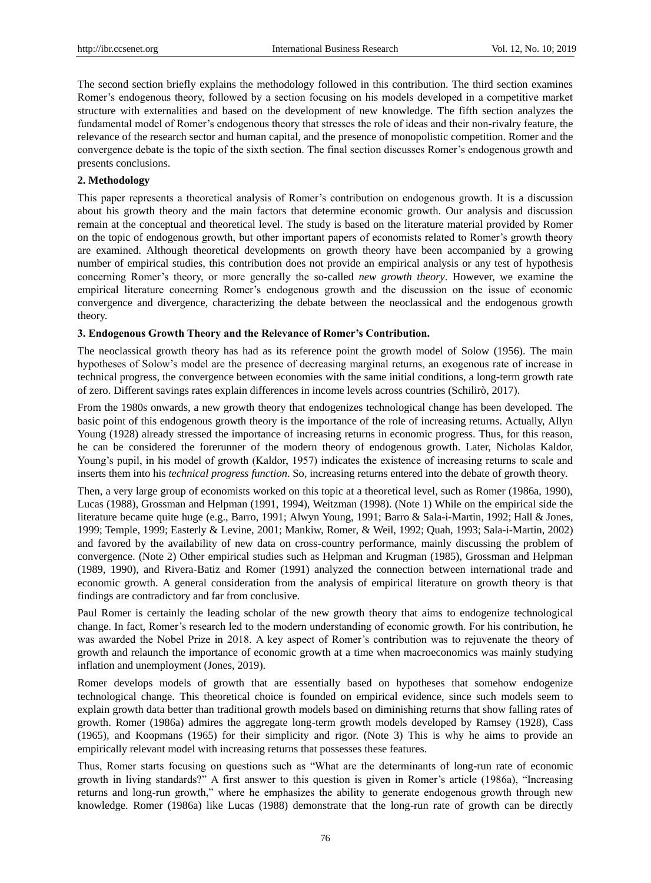The second section briefly explains the methodology followed in this contribution. The third section examines Romer's endogenous theory, followed by a section focusing on his models developed in a competitive market structure with externalities and based on the development of new knowledge. The fifth section analyzes the fundamental model of Romer's endogenous theory that stresses the role of ideas and their non-rivalry feature, the relevance of the research sector and human capital, and the presence of monopolistic competition. Romer and the convergence debate is the topic of the sixth section. The final section discusses Romer's endogenous growth and presents conclusions.

#### **2. Methodology**

This paper represents a theoretical analysis of Romer's contribution on endogenous growth. It is a discussion about his growth theory and the main factors that determine economic growth. Our analysis and discussion remain at the conceptual and theoretical level. The study is based on the literature material provided by Romer on the topic of endogenous growth, but other important papers of economists related to Romer's growth theory are examined. Although theoretical developments on growth theory have been accompanied by a growing number of empirical studies, this contribution does not provide an empirical analysis or any test of hypothesis concerning Romer's theory, or more generally the so-called *new growth theory*. However, we examine the empirical literature concerning Romer's endogenous growth and the discussion on the issue of economic convergence and divergence, characterizing the debate between the neoclassical and the endogenous growth theory.

#### **3. Endogenous Growth Theory and the Relevance of Romer's Contribution.**

The neoclassical growth theory has had as its reference point the growth model of Solow (1956). The main hypotheses of Solow's model are the presence of decreasing marginal returns, an exogenous rate of increase in technical progress, the convergence between economies with the same initial conditions, a long-term growth rate of zero. Different savings rates explain differences in income levels across countries (Schilirò, 2017).

From the 1980s onwards, a new growth theory that endogenizes technological change has been developed. The basic point of this endogenous growth theory is the importance of the role of increasing returns. Actually, Allyn Young (1928) already stressed the importance of increasing returns in economic progress. Thus, for this reason, he can be considered the forerunner of the modern theory of endogenous growth. Later, Nicholas Kaldor, Young's pupil, in his model of growth (Kaldor, 1957) indicates the existence of increasing returns to scale and inserts them into his *technical progress function*. So, increasing returns entered into the debate of growth theory.

Then, a very large group of economists worked on this topic at a theoretical level, such as Romer (1986a, 1990), Lucas (1988), Grossman and Helpman (1991, 1994), Weitzman (1998). (Note 1) While on the empirical side the literature became quite huge (e.g., Barro, 1991; Alwyn Young, 1991; Barro & Sala-i-Martin, 1992; Hall & Jones, 1999; Temple, 1999; Easterly & Levine, 2001; Mankiw, Romer, & Weil, 1992; Quah, 1993; Sala-i-Martin, 2002) and favored by the availability of new data on cross-country performance, mainly discussing the problem of convergence. (Note 2) Other empirical studies such as Helpman and Krugman (1985), Grossman and Helpman (1989, 1990), and Rivera-Batiz and Romer (1991) analyzed the connection between international trade and economic growth. A general consideration from the analysis of empirical literature on growth theory is that findings are contradictory and far from conclusive.

Paul Romer is certainly the leading scholar of the new growth theory that aims to endogenize technological change. In fact, Romer's research led to the modern understanding of economic growth. For his contribution, he was awarded the Nobel Prize in 2018. A key aspect of Romer's contribution was to rejuvenate the theory of growth and relaunch the importance of economic growth at a time when macroeconomics was mainly studying inflation and unemployment (Jones, 2019).

Romer develops models of growth that are essentially based on hypotheses that somehow endogenize technological change. This theoretical choice is founded on empirical evidence, since such models seem to explain growth data better than traditional growth models based on diminishing returns that show falling rates of growth. Romer (1986a) admires the aggregate long-term growth models developed by Ramsey (1928), Cass (1965), and Koopmans (1965) for their simplicity and rigor. (Note 3) This is why he aims to provide an empirically relevant model with increasing returns that possesses these features.

Thus, Romer starts focusing on questions such as "What are the determinants of long-run rate of economic growth in living standards?" A first answer to this question is given in Romer's article (1986a), "Increasing returns and long-run growth," where he emphasizes the ability to generate endogenous growth through new knowledge. Romer (1986a) like Lucas (1988) demonstrate that the long-run rate of growth can be directly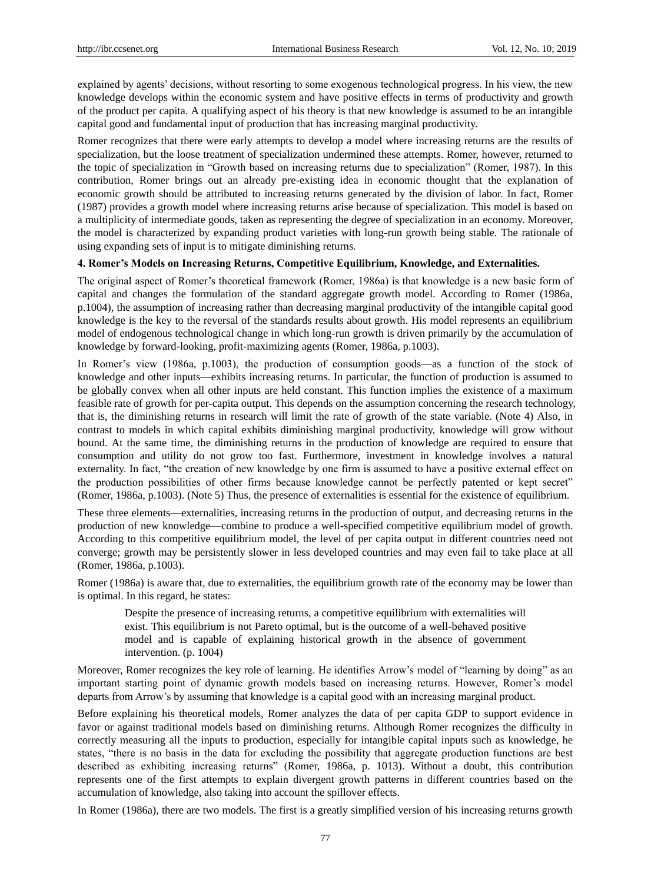explained by agents' decisions, without resorting to some exogenous technological progress. In his view, the new knowledge develops within the economic system and have positive effects in terms of productivity and growth of the product per capita. A qualifying aspect of his theory is that new knowledge is assumed to be an intangible capital good and fundamental input of production that has increasing marginal productivity.

Romer recognizes that there were early attempts to develop a model where increasing returns are the results of specialization, but the loose treatment of specialization undermined these attempts. Romer, however, returned to the topic of specialization in "Growth based on increasing returns due to specialization" (Romer, 1987). In this contribution, Romer brings out an already pre-existing idea in economic thought that the explanation of economic growth should be attributed to increasing returns generated by the division of labor. In fact, Romer (1987) provides a growth model where increasing returns arise because of specialization. This model is based on a multiplicity of intermediate goods, taken as representing the degree of specialization in an economy. Moreover, the model is characterized by expanding product varieties with long-run growth being stable. The rationale of using expanding sets of input is to mitigate diminishing returns.

#### **4. Romer's Models on Increasing Returns, Competitive Equilibrium, Knowledge, and Externalities.**

The original aspect of Romer's theoretical framework (Romer, 1986a) is that knowledge is a new basic form of capital and changes the formulation of the standard aggregate growth model. According to Romer (1986a, p.1004), the assumption of increasing rather than decreasing marginal productivity of the intangible capital good knowledge is the key to the reversal of the standards results about growth. His model represents an equilibrium model of endogenous technological change in which long-run growth is driven primarily by the accumulation of knowledge by forward-looking, profit-maximizing agents (Romer, 1986a, p.1003).

In Romer's view (1986a, p.1003), the production of consumption goods—as a function of the stock of knowledge and other inputs—exhibits increasing returns. In particular, the function of production is assumed to be globally convex when all other inputs are held constant. This function implies the existence of a maximum feasible rate of growth for per-capita output. This depends on the assumption concerning the research technology, that is, the diminishing returns in research will limit the rate of growth of the state variable. (Note 4) Also, in contrast to models in which capital exhibits diminishing marginal productivity, knowledge will grow without bound. At the same time, the diminishing returns in the production of knowledge are required to ensure that consumption and utility do not grow too fast. Furthermore, investment in knowledge involves a natural externality. In fact, "the creation of new knowledge by one firm is assumed to have a positive external effect on the production possibilities of other firms because knowledge cannot be perfectly patented or kept secret" (Romer, 1986a, p.1003). (Note 5) Thus, the presence of externalities is essential for the existence of equilibrium.

These three elements—externalities, increasing returns in the production of output, and decreasing returns in the production of new knowledge—combine to produce a well-specified competitive equilibrium model of growth. According to this competitive equilibrium model, the level of per capita output in different countries need not converge; growth may be persistently slower in less developed countries and may even fail to take place at all (Romer, 1986a, p.1003).

Romer (1986a) is aware that, due to externalities, the equilibrium growth rate of the economy may be lower than is optimal. In this regard, he states:

Despite the presence of increasing returns, a competitive equilibrium with externalities will exist. This equilibrium is not Pareto optimal, but is the outcome of a well-behaved positive model and is capable of explaining historical growth in the absence of government intervention. (p. 1004)

Moreover, Romer recognizes the key role of learning. He identifies Arrow's model of "learning by doing" as an important starting point of dynamic growth models based on increasing returns. However, Romer's model departs from Arrow's by assuming that knowledge is a capital good with an increasing marginal product.

Before explaining his theoretical models, Romer analyzes the data of per capita GDP to support evidence in favor or against traditional models based on diminishing returns. Although Romer recognizes the difficulty in correctly measuring all the inputs to production, especially for intangible capital inputs such as knowledge, he states, "there is no basis in the data for excluding the possibility that aggregate production functions are best described as exhibiting increasing returns‖ (Romer, 1986a, p. 1013). Without a doubt, this contribution represents one of the first attempts to explain divergent growth patterns in different countries based on the accumulation of knowledge, also taking into account the spillover effects.

In Romer (1986a), there are two models. The first is a greatly simplified version of his increasing returns growth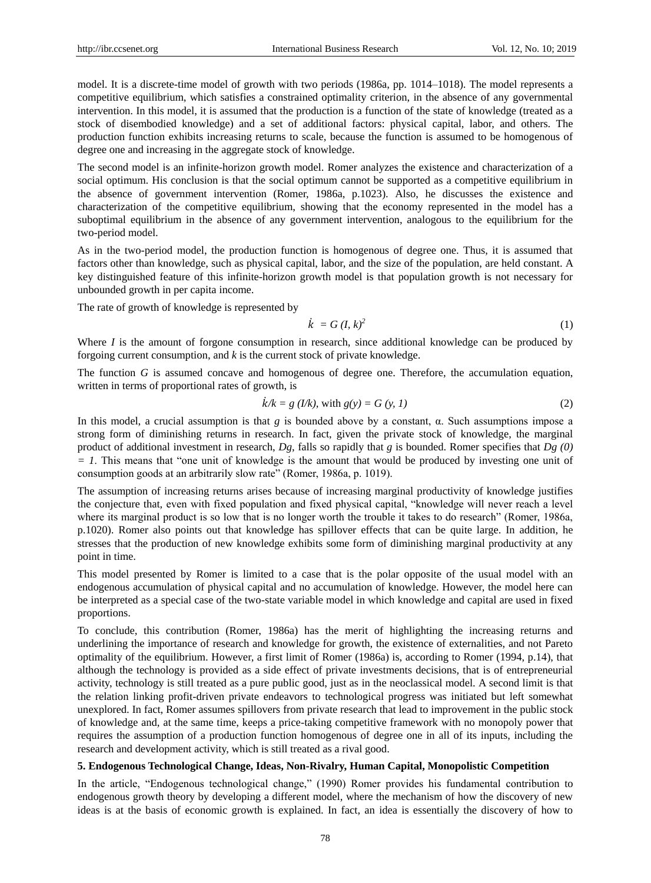model. It is a discrete-time model of growth with two periods (1986a, pp. 1014–1018). The model represents a competitive equilibrium, which satisfies a constrained optimality criterion, in the absence of any governmental intervention. In this model, it is assumed that the production is a function of the state of knowledge (treated as a stock of disembodied knowledge) and a set of additional factors: physical capital, labor, and others. The production function exhibits increasing returns to scale, because the function is assumed to be homogenous of degree one and increasing in the aggregate stock of knowledge.

The second model is an infinite-horizon growth model. Romer analyzes the existence and characterization of a social optimum. His conclusion is that the social optimum cannot be supported as a competitive equilibrium in the absence of government intervention (Romer, 1986a, p.1023). Also, he discusses the existence and characterization of the competitive equilibrium, showing that the economy represented in the model has a suboptimal equilibrium in the absence of any government intervention, analogous to the equilibrium for the two-period model.

As in the two-period model, the production function is homogenous of degree one. Thus, it is assumed that factors other than knowledge, such as physical capital, labor, and the size of the population, are held constant. A key distinguished feature of this infinite-horizon growth model is that population growth is not necessary for unbounded growth in per capita income.

The rate of growth of knowledge is represented by

$$
\dot{k} = G(l, k)^2 \tag{1}
$$

Where *I* is the amount of forgone consumption in research, since additional knowledge can be produced by forgoing current consumption, and *k* is the current stock of private knowledge.

The function *G* is assumed concave and homogenous of degree one. Therefore, the accumulation equation, written in terms of proportional rates of growth, is

$$
\dot{k}/k = g \, (1/k), \text{ with } g(y) = G \, (y, 1) \tag{2}
$$

In this model, a crucial assumption is that *g* is bounded above by a constant, α. Such assumptions impose a strong form of diminishing returns in research. In fact, given the private stock of knowledge, the marginal product of additional investment in research, *Dg*, falls so rapidly that *g* is bounded. Romer specifies that *Dg (0)*   $= 1$ . This means that "one unit of knowledge is the amount that would be produced by investing one unit of consumption goods at an arbitrarily slow rate" (Romer, 1986a, p. 1019).

The assumption of increasing returns arises because of increasing marginal productivity of knowledge justifies the conjecture that, even with fixed population and fixed physical capital, "knowledge will never reach a level where its marginal product is so low that is no longer worth the trouble it takes to do research" (Romer, 1986a, p.1020). Romer also points out that knowledge has spillover effects that can be quite large. In addition, he stresses that the production of new knowledge exhibits some form of diminishing marginal productivity at any point in time.

This model presented by Romer is limited to a case that is the polar opposite of the usual model with an endogenous accumulation of physical capital and no accumulation of knowledge. However, the model here can be interpreted as a special case of the two-state variable model in which knowledge and capital are used in fixed proportions.

To conclude, this contribution (Romer, 1986a) has the merit of highlighting the increasing returns and underlining the importance of research and knowledge for growth, the existence of externalities, and not Pareto optimality of the equilibrium. However, a first limit of Romer (1986a) is, according to Romer (1994, p.14), that although the technology is provided as a side effect of private investments decisions, that is of entrepreneurial activity, technology is still treated as a pure public good, just as in the neoclassical model. A second limit is that the relation linking profit-driven private endeavors to technological progress was initiated but left somewhat unexplored. In fact, Romer assumes spillovers from private research that lead to improvement in the public stock of knowledge and, at the same time, keeps a price-taking competitive framework with no monopoly power that requires the assumption of a production function homogenous of degree one in all of its inputs, including the research and development activity, which is still treated as a rival good.

#### **5. Endogenous Technological Change, Ideas, Non-Rivalry, Human Capital, Monopolistic Competition**

In the article, "Endogenous technological change," (1990) Romer provides his fundamental contribution to endogenous growth theory by developing a different model, where the mechanism of how the discovery of new ideas is at the basis of economic growth is explained. In fact, an idea is essentially the discovery of how to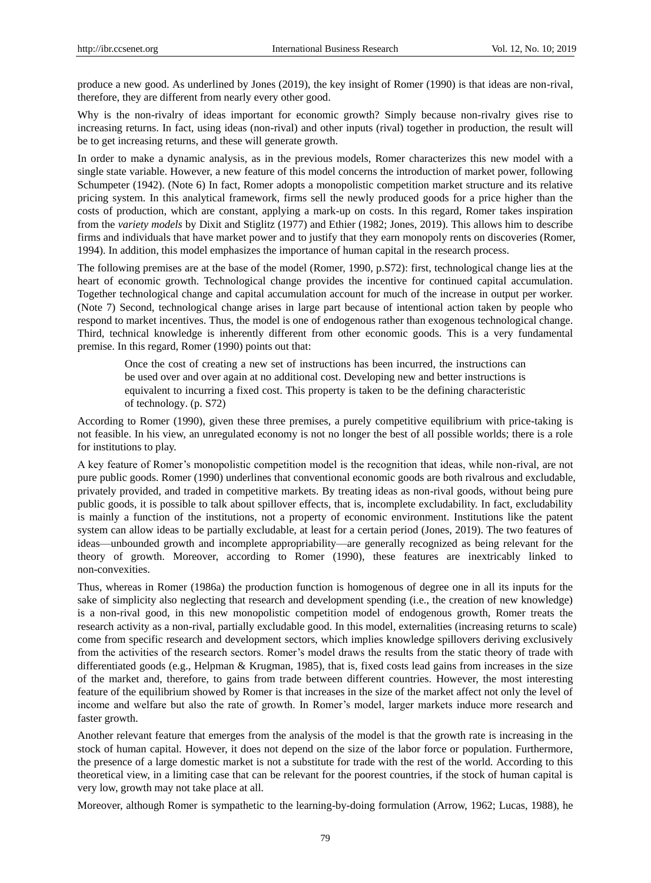produce a new good. As underlined by Jones (2019), the key insight of Romer (1990) is that ideas are non-rival, therefore, they are different from nearly every other good.

Why is the non-rivalry of ideas important for economic growth? Simply because non-rivalry gives rise to increasing returns. In fact, using ideas (non-rival) and other inputs (rival) together in production, the result will be to get increasing returns, and these will generate growth.

In order to make a dynamic analysis, as in the previous models, Romer characterizes this new model with a single state variable. However, a new feature of this model concerns the introduction of market power, following Schumpeter (1942). (Note 6) In fact, Romer adopts a monopolistic competition market structure and its relative pricing system. In this analytical framework, firms sell the newly produced goods for a price higher than the costs of production, which are constant, applying a mark-up on costs. In this regard, Romer takes inspiration from the *variety models* by Dixit and Stiglitz (1977) and Ethier (1982; Jones, 2019). This allows him to describe firms and individuals that have market power and to justify that they earn monopoly rents on discoveries (Romer, 1994). In addition, this model emphasizes the importance of human capital in the research process.

The following premises are at the base of the model (Romer, 1990, p.S72): first, technological change lies at the heart of economic growth. Technological change provides the incentive for continued capital accumulation. Together technological change and capital accumulation account for much of the increase in output per worker. (Note 7) Second, technological change arises in large part because of intentional action taken by people who respond to market incentives. Thus, the model is one of endogenous rather than exogenous technological change. Third, technical knowledge is inherently different from other economic goods. This is a very fundamental premise. In this regard, Romer (1990) points out that:

Once the cost of creating a new set of instructions has been incurred, the instructions can be used over and over again at no additional cost. Developing new and better instructions is equivalent to incurring a fixed cost. This property is taken to be the defining characteristic of technology. (p. S72)

According to Romer (1990), given these three premises, a purely competitive equilibrium with price-taking is not feasible. In his view, an unregulated economy is not no longer the best of all possible worlds; there is a role for institutions to play.

A key feature of Romer's monopolistic competition model is the recognition that ideas, while non-rival, are not pure public goods. Romer (1990) underlines that conventional economic goods are both rivalrous and excludable, privately provided, and traded in competitive markets. By treating ideas as non-rival goods, without being pure public goods, it is possible to talk about spillover effects, that is, incomplete excludability. In fact, excludability is mainly a function of the institutions, not a property of economic environment. Institutions like the patent system can allow ideas to be partially excludable, at least for a certain period (Jones, 2019). The two features of ideas—unbounded growth and incomplete appropriability—are generally recognized as being relevant for the theory of growth. Moreover, according to Romer (1990), these features are inextricably linked to non-convexities.

Thus, whereas in Romer (1986a) the production function is homogenous of degree one in all its inputs for the sake of simplicity also neglecting that research and development spending (i.e., the creation of new knowledge) is a non-rival good, in this new monopolistic competition model of endogenous growth, Romer treats the research activity as a non-rival, partially excludable good. In this model, externalities (increasing returns to scale) come from specific research and development sectors, which implies knowledge spillovers deriving exclusively from the activities of the research sectors. Romer's model draws the results from the static theory of trade with differentiated goods (e.g., Helpman & Krugman, 1985), that is, fixed costs lead gains from increases in the size of the market and, therefore, to gains from trade between different countries. However, the most interesting feature of the equilibrium showed by Romer is that increases in the size of the market affect not only the level of income and welfare but also the rate of growth. In Romer's model, larger markets induce more research and faster growth.

Another relevant feature that emerges from the analysis of the model is that the growth rate is increasing in the stock of human capital. However, it does not depend on the size of the labor force or population. Furthermore, the presence of a large domestic market is not a substitute for trade with the rest of the world. According to this theoretical view, in a limiting case that can be relevant for the poorest countries, if the stock of human capital is very low, growth may not take place at all.

Moreover, although Romer is sympathetic to the learning-by-doing formulation (Arrow, 1962; Lucas, 1988), he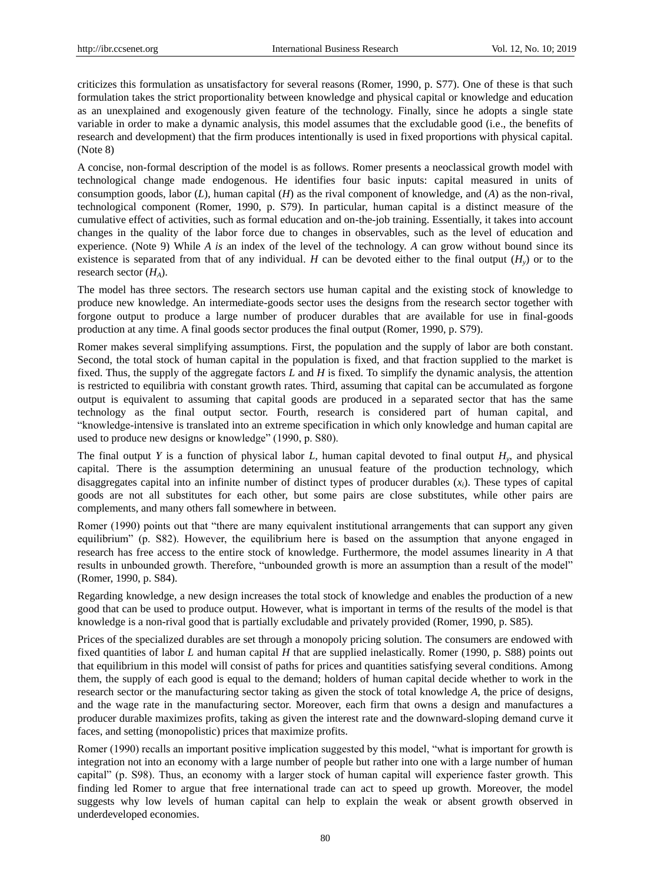criticizes this formulation as unsatisfactory for several reasons (Romer, 1990, p. S77). One of these is that such formulation takes the strict proportionality between knowledge and physical capital or knowledge and education as an unexplained and exogenously given feature of the technology. Finally, since he adopts a single state variable in order to make a dynamic analysis, this model assumes that the excludable good (i.e., the benefits of research and development) that the firm produces intentionally is used in fixed proportions with physical capital. (Note 8)

A concise, non-formal description of the model is as follows. Romer presents a neoclassical growth model with technological change made endogenous. He identifies four basic inputs: capital measured in units of consumption goods, labor (*L*), human capital (*H*) as the rival component of knowledge, and (*A*) as the non-rival, technological component (Romer, 1990, p. S79). In particular, human capital is a distinct measure of the cumulative effect of activities, such as formal education and on-the-job training. Essentially, it takes into account changes in the quality of the labor force due to changes in observables, such as the level of education and experience. (Note 9) While *A is* an index of the level of the technology. *A* can grow without bound since its existence is separated from that of any individual. *H* can be devoted either to the final output  $(H<sub>y</sub>)$  or to the research sector (*HA*).

The model has three sectors. The research sectors use human capital and the existing stock of knowledge to produce new knowledge. An intermediate-goods sector uses the designs from the research sector together with forgone output to produce a large number of producer durables that are available for use in final-goods production at any time. A final goods sector produces the final output (Romer, 1990, p. S79).

Romer makes several simplifying assumptions. First, the population and the supply of labor are both constant. Second, the total stock of human capital in the population is fixed, and that fraction supplied to the market is fixed. Thus, the supply of the aggregate factors *L* and *H* is fixed. To simplify the dynamic analysis, the attention is restricted to equilibria with constant growth rates. Third, assuming that capital can be accumulated as forgone output is equivalent to assuming that capital goods are produced in a separated sector that has the same technology as the final output sector. Fourth, research is considered part of human capital, and ―knowledge-intensive is translated into an extreme specification in which only knowledge and human capital are used to produce new designs or knowledge" (1990, p. S80).

The final output *Y* is a function of physical labor *L,* human capital devoted to final output *H<sup>y</sup>* , and physical capital. There is the assumption determining an unusual feature of the production technology, which disaggregates capital into an infinite number of distinct types of producer durables (*xi*). These types of capital goods are not all substitutes for each other, but some pairs are close substitutes, while other pairs are complements, and many others fall somewhere in between.

Romer (1990) points out that "there are many equivalent institutional arrangements that can support any given equilibrium" (p. S82). However, the equilibrium here is based on the assumption that anyone engaged in research has free access to the entire stock of knowledge. Furthermore, the model assumes linearity in *A* that results in unbounded growth. Therefore, "unbounded growth is more an assumption than a result of the model" (Romer, 1990, p. S84).

Regarding knowledge, a new design increases the total stock of knowledge and enables the production of a new good that can be used to produce output. However, what is important in terms of the results of the model is that knowledge is a non-rival good that is partially excludable and privately provided (Romer, 1990, p. S85).

Prices of the specialized durables are set through a monopoly pricing solution. The consumers are endowed with fixed quantities of labor *L* and human capital *H* that are supplied inelastically. Romer (1990, p. S88) points out that equilibrium in this model will consist of paths for prices and quantities satisfying several conditions. Among them, the supply of each good is equal to the demand; holders of human capital decide whether to work in the research sector or the manufacturing sector taking as given the stock of total knowledge *A*, the price of designs, and the wage rate in the manufacturing sector. Moreover, each firm that owns a design and manufactures a producer durable maximizes profits, taking as given the interest rate and the downward-sloping demand curve it faces, and setting (monopolistic) prices that maximize profits.

Romer (1990) recalls an important positive implication suggested by this model, "what is important for growth is integration not into an economy with a large number of people but rather into one with a large number of human capital" (p. S98). Thus, an economy with a larger stock of human capital will experience faster growth. This finding led Romer to argue that free international trade can act to speed up growth. Moreover, the model suggests why low levels of human capital can help to explain the weak or absent growth observed in underdeveloped economies.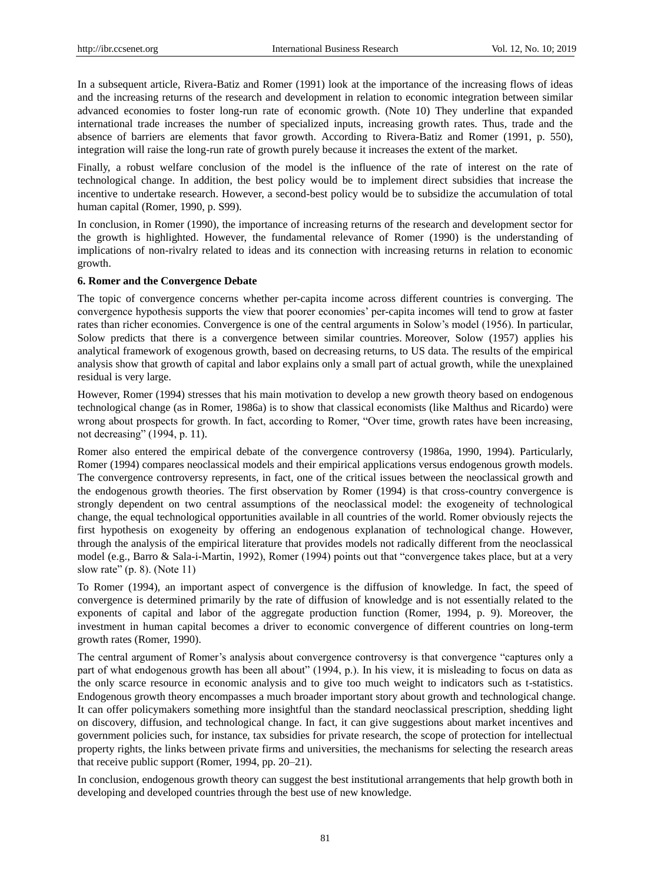In a subsequent article, Rivera-Batiz and Romer (1991) look at the importance of the increasing flows of ideas and the increasing returns of the research and development in relation to economic integration between similar advanced economies to foster long-run rate of economic growth. (Note 10) They underline that expanded international trade increases the number of specialized inputs, increasing growth rates. Thus, trade and the absence of barriers are elements that favor growth. According to Rivera-Batiz and Romer (1991, p. 550), integration will raise the long-run rate of growth purely because it increases the extent of the market.

Finally, a robust welfare conclusion of the model is the influence of the rate of interest on the rate of technological change. In addition, the best policy would be to implement direct subsidies that increase the incentive to undertake research. However, a second-best policy would be to subsidize the accumulation of total human capital (Romer, 1990, p. S99).

In conclusion, in Romer (1990), the importance of increasing returns of the research and development sector for the growth is highlighted. However, the fundamental relevance of Romer (1990) is the understanding of implications of non-rivalry related to ideas and its connection with increasing returns in relation to economic growth.

#### **6. Romer and the Convergence Debate**

The topic of convergence concerns whether per-capita income across different countries is converging. The convergence hypothesis supports the view that poorer economies' per-capita incomes will tend to grow at faster rates than richer economies. Convergence is one of the central arguments in Solow's model (1956). In particular, Solow predicts that there is a convergence between similar countries. Moreover, Solow (1957) applies his analytical framework of exogenous growth, based on decreasing returns, to US data. The results of the empirical analysis show that growth of capital and labor explains only a small part of actual growth, while the unexplained residual is very large.

However, Romer (1994) stresses that his main motivation to develop a new growth theory based on endogenous technological change (as in Romer, 1986a) is to show that classical economists (like Malthus and Ricardo) were wrong about prospects for growth. In fact, according to Romer, "Over time, growth rates have been increasing, not decreasing" (1994, p. 11).

Romer also entered the empirical debate of the convergence controversy (1986a, 1990, 1994). Particularly, Romer (1994) compares neoclassical models and their empirical applications versus endogenous growth models. The convergence controversy represents, in fact, one of the critical issues between the neoclassical growth and the endogenous growth theories. The first observation by Romer (1994) is that cross-country convergence is strongly dependent on two central assumptions of the neoclassical model: the exogeneity of technological change, the equal technological opportunities available in all countries of the world. Romer obviously rejects the first hypothesis on exogeneity by offering an endogenous explanation of technological change. However, through the analysis of the empirical literature that provides models not radically different from the neoclassical model (e.g., Barro & Sala-i-Martin, 1992), Romer (1994) points out that "convergence takes place, but at a very slow rate"  $(p. 8)$ . (Note 11)

To Romer (1994), an important aspect of convergence is the diffusion of knowledge. In fact, the speed of convergence is determined primarily by the rate of diffusion of knowledge and is not essentially related to the exponents of capital and labor of the aggregate production function (Romer, 1994, p. 9). Moreover, the investment in human capital becomes a driver to economic convergence of different countries on long-term growth rates (Romer, 1990).

The central argument of Romer's analysis about convergence controversy is that convergence "captures only a part of what endogenous growth has been all about" (1994, p.). In his view, it is misleading to focus on data as the only scarce resource in economic analysis and to give too much weight to indicators such as t-statistics. Endogenous growth theory encompasses a much broader important story about growth and technological change. It can offer policymakers something more insightful than the standard neoclassical prescription, shedding light on discovery, diffusion, and technological change. In fact, it can give suggestions about market incentives and government policies such, for instance, tax subsidies for private research, the scope of protection for intellectual property rights, the links between private firms and universities, the mechanisms for selecting the research areas that receive public support (Romer, 1994, pp. 20–21).

In conclusion, endogenous growth theory can suggest the best institutional arrangements that help growth both in developing and developed countries through the best use of new knowledge.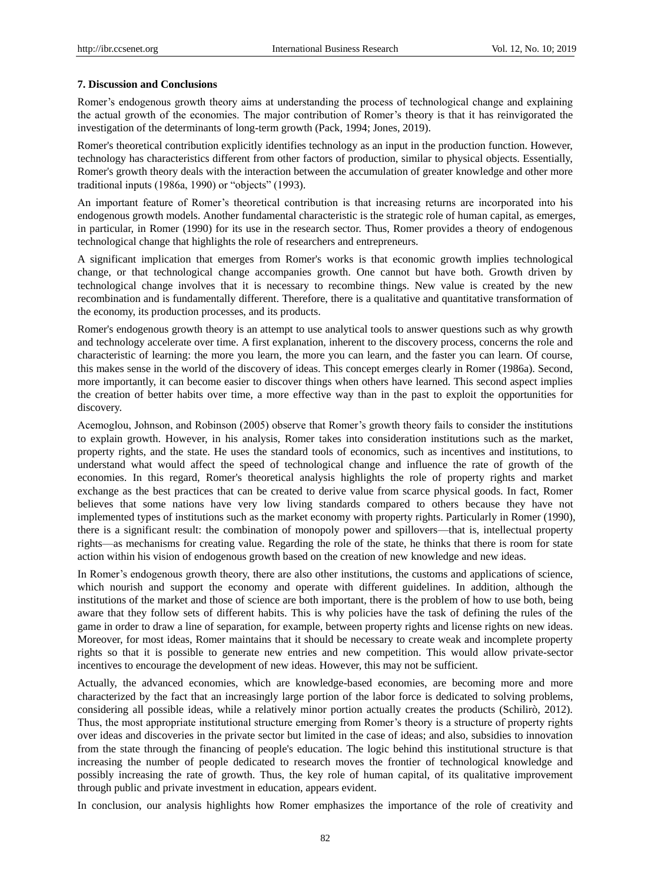#### **7. Discussion and Conclusions**

Romer's endogenous growth theory aims at understanding the process of technological change and explaining the actual growth of the economies. The major contribution of Romer's theory is that it has reinvigorated the investigation of the determinants of long-term growth (Pack, 1994; Jones, 2019).

Romer's theoretical contribution explicitly identifies technology as an input in the production function. However, technology has characteristics different from other factors of production, similar to physical objects. Essentially, Romer's growth theory deals with the interaction between the accumulation of greater knowledge and other more traditional inputs  $(1986a, 1990)$  or "objects"  $(1993)$ .

An important feature of Romer's theoretical contribution is that increasing returns are incorporated into his endogenous growth models. Another fundamental characteristic is the strategic role of human capital, as emerges, in particular, in Romer (1990) for its use in the research sector. Thus, Romer provides a theory of endogenous technological change that highlights the role of researchers and entrepreneurs.

A significant implication that emerges from Romer's works is that economic growth implies technological change, or that technological change accompanies growth. One cannot but have both. Growth driven by technological change involves that it is necessary to recombine things. New value is created by the new recombination and is fundamentally different. Therefore, there is a qualitative and quantitative transformation of the economy, its production processes, and its products.

Romer's endogenous growth theory is an attempt to use analytical tools to answer questions such as why growth and technology accelerate over time. A first explanation, inherent to the discovery process, concerns the role and characteristic of learning: the more you learn, the more you can learn, and the faster you can learn. Of course, this makes sense in the world of the discovery of ideas. This concept emerges clearly in Romer (1986a). Second, more importantly, it can become easier to discover things when others have learned. This second aspect implies the creation of better habits over time, a more effective way than in the past to exploit the opportunities for discovery.

Acemoglou, Johnson, and Robinson (2005) observe that Romer's growth theory fails to consider the institutions to explain growth. However, in his analysis, Romer takes into consideration institutions such as the market, property rights, and the state. He uses the standard tools of economics, such as incentives and institutions, to understand what would affect the speed of technological change and influence the rate of growth of the economies. In this regard, Romer's theoretical analysis highlights the role of property rights and market exchange as the best practices that can be created to derive value from scarce physical goods. In fact, Romer believes that some nations have very low living standards compared to others because they have not implemented types of institutions such as the market economy with property rights. Particularly in Romer (1990), there is a significant result: the combination of monopoly power and spillovers—that is, intellectual property rights—as mechanisms for creating value. Regarding the role of the state, he thinks that there is room for state action within his vision of endogenous growth based on the creation of new knowledge and new ideas.

In Romer's endogenous growth theory, there are also other institutions, the customs and applications of science, which nourish and support the economy and operate with different guidelines. In addition, although the institutions of the market and those of science are both important, there is the problem of how to use both, being aware that they follow sets of different habits. This is why policies have the task of defining the rules of the game in order to draw a line of separation, for example, between property rights and license rights on new ideas. Moreover, for most ideas, Romer maintains that it should be necessary to create weak and incomplete property rights so that it is possible to generate new entries and new competition. This would allow private-sector incentives to encourage the development of new ideas. However, this may not be sufficient.

Actually, the advanced economies, which are knowledge-based economies, are becoming more and more characterized by the fact that an increasingly large portion of the labor force is dedicated to solving problems, considering all possible ideas, while a relatively minor portion actually creates the products (Schilirò, 2012). Thus, the most appropriate institutional structure emerging from Romer's theory is a structure of property rights over ideas and discoveries in the private sector but limited in the case of ideas; and also, subsidies to innovation from the state through the financing of people's education. The logic behind this institutional structure is that increasing the number of people dedicated to research moves the frontier of technological knowledge and possibly increasing the rate of growth. Thus, the key role of human capital, of its qualitative improvement through public and private investment in education, appears evident.

In conclusion, our analysis highlights how Romer emphasizes the importance of the role of creativity and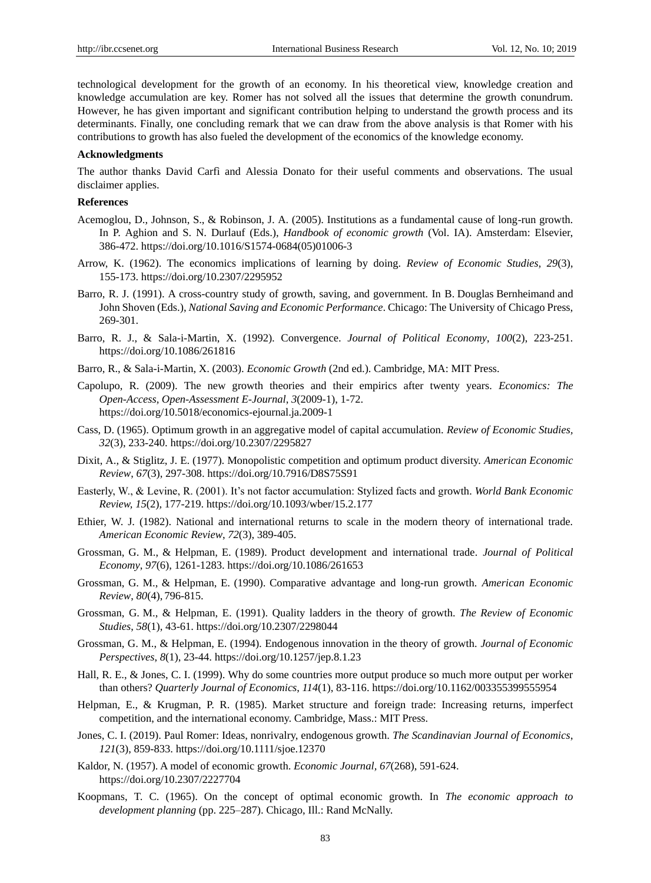technological development for the growth of an economy. In his theoretical view, knowledge creation and knowledge accumulation are key. Romer has not solved all the issues that determine the growth conundrum. However, he has given important and significant contribution helping to understand the growth process and its determinants. Finally, one concluding remark that we can draw from the above analysis is that Romer with his contributions to growth has also fueled the development of the economics of the knowledge economy.

#### **Acknowledgments**

The author thanks David Carfì and Alessia Donato for their useful comments and observations. The usual disclaimer applies.

## **References**

- Acemoglou, D., Johnson, S., & Robinson, J. A. (2005). Institutions as a fundamental cause of long-run growth. In P. Aghion and S. N. Durlauf (Eds.), *Handbook of economic growth* (Vol. IA). Amsterdam: Elsevier, 386-472. https://doi.org/10.1016/S1574-0684(05)01006-3
- Arrow, K. (1962). The economics implications of learning by doing. *Review of Economic Studies, 29*(3), 155-173. https://doi.org/10.2307/2295952
- Barro, R. J. (1991). A cross-country study of growth, saving, and government. In B. Douglas Bernheimand and John Shoven (Eds.), *National Saving and Economic Performance*. Chicago: The University of Chicago Press, 269-301.
- Barro, R. J., & Sala-i-Martin, X. (1992). Convergence. *Journal of Political Economy*, *100*(2), 223-251. https://doi.org/10.1086/261816
- Barro, R., & Sala-i-Martin, X. (2003). *Economic Growth* (2nd ed.). Cambridge, MA: MIT Press.
- Capolupo, R. (2009). The new growth theories and their empirics after twenty years. *Economics: The Open-Access, Open-Assessment E-Journal*, *3*(2009-1), 1-72. https://doi.org/10.5018/economics-ejournal.ja.2009-1
- Cass, D. (1965). Optimum growth in an aggregative model of capital accumulation. *Review of Economic Studies, 32*(3), 233-240. https://doi.org/10.2307/2295827
- Dixit, A., & Stiglitz, J. E. (1977). Monopolistic competition and optimum product diversity. *American Economic Review*, *67*(3), 297-308.<https://doi.org/10.7916/D8S75S91>
- Easterly, W., & Levine, R. (2001). It's not factor accumulation: Stylized facts and growth. *World Bank Economic Review, 15*(2)*,* 177-219.<https://doi.org/10.1093/wber/15.2.177>
- Ethier, W. J. (1982). National and international returns to scale in the modern theory of international trade. *American Economic Review*, *72*(3), 389-405.
- Grossman, G. M., & Helpman, E. (1989). Product development and international trade. *Journal of Political Economy*, *97*(6), 1261-1283. https://doi.org/10.1086/261653
- Grossman, G. M., & Helpman, E. (1990). Comparative advantage and long-run growth. *American Economic Review*, *80*(4), 796-815.
- Grossman, G. M., & Helpman, E. (1991). Quality ladders in the theory of growth. *The Review of Economic Studies*, *58*(1), 43-61.<https://doi.org/10.2307/2298044>
- Grossman, G. M., & Helpman, E. (1994). Endogenous innovation in the theory of growth. *Journal of Economic Perspectives*, *8*(1), 23-44. https://doi.org/10.1257/jep.8.1.23
- Hall, R. E., & Jones, C. I. (1999). Why do some countries more output produce so much more output per worker than others? *Quarterly Journal of Economics*, *114*(1), 83-116. https://doi.org/10.1162/003355399555954
- Helpman, E., & Krugman, P. R. (1985). Market structure and foreign trade: Increasing returns, imperfect competition, and the international economy. Cambridge, Mass.: MIT Press.
- Jones, C. I. (2019). Paul Romer: Ideas, nonrivalry, endogenous growth. *The Scandinavian Journal of Economics*, *121*(3), 859-833. https://doi.org/10.1111/sjoe.12370
- Kaldor, N. (1957). A model of economic growth. *Economic Journal, 67*(268), 591-624. <https://doi.org/10.2307/2227704>
- Koopmans, T. C. (1965). On the concept of optimal economic growth. In *The economic approach to development planning* (pp. 225–287). Chicago, Ill.: Rand McNally.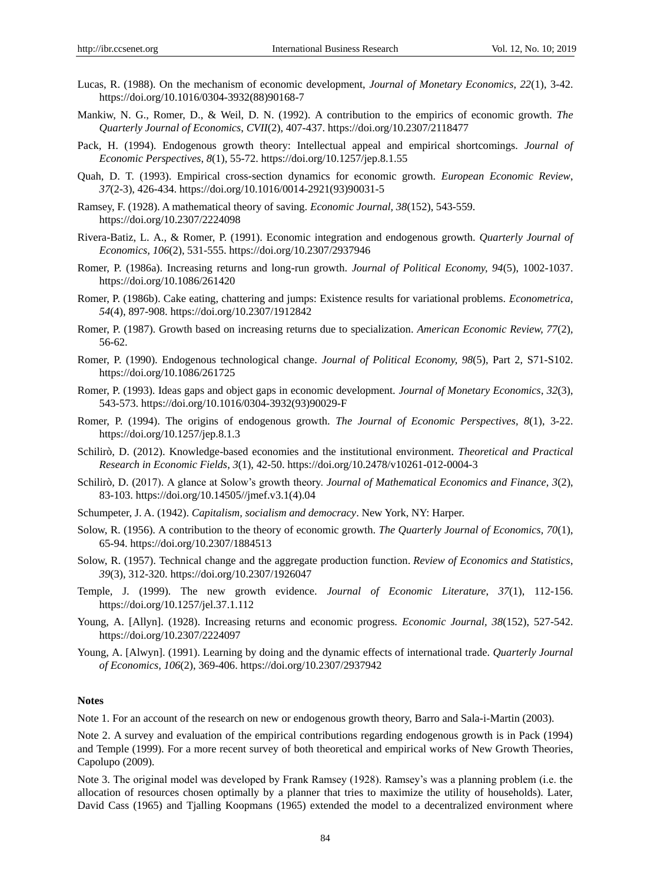- Lucas, R. (1988). On the mechanism of economic development, *Journal of Monetary Economics, 22*(1), 3-42. https://doi.org/10.1016/0304-3932(88)90168-7
- Mankiw, N. G., Romer, D., & Weil, D. N. (1992). A contribution to the empirics of economic growth. *The Quarterly Journal of Economics*, *CVII*(2), 407-437. https://doi.org/10.2307/2118477
- Pack, H. (1994). Endogenous growth theory: Intellectual appeal and empirical shortcomings. *Journal of Economic Perspectives*, *8*(1), 55-72. https://doi.org/10.1257/jep.8.1.55
- Quah, D. T. (1993). Empirical cross-section dynamics for economic growth. *European Economic Review*, *37*(2-3), 426-434. https://doi.org/10.1016/0014-2921(93)90031-5
- Ramsey, F. (1928). A mathematical theory of saving. *Economic Journal, 38*(152), 543-559. https://doi.org/10.2307/2224098
- Rivera-Batiz, L. A., & Romer, P. (1991). Economic integration and endogenous growth. *Quarterly Journal of Economics, 106*(2), 531-555. https://doi.org/10.2307/2937946
- Romer, P. (1986a). Increasing returns and long-run growth. *Journal of Political Economy, 94*(5), 1002-1037. https://doi.org/10.1086/261420
- Romer, P. (1986b). Cake eating, chattering and jumps: Existence results for variational problems. *Econometrica, 54*(4), 897-908. https://doi.org/10.2307/1912842
- Romer, P. (1987). Growth based on increasing returns due to specialization. *American Economic Review, 77*(2)*,*  56-62.
- Romer, P. (1990). Endogenous technological change. *Journal of Political Economy, 98*(5), Part 2, S71-S102. <https://doi.org/10.1086/261725>
- Romer, P. (1993). Ideas gaps and object gaps in economic development. *Journal of Monetary Economics*, *32*(3), 543-573. [https://doi.org/10.1016/0304-3932\(93\)90029-F](https://doi.org/10.1016/0304-3932(93)90029-F)
- Romer, P. (1994). The origins of endogenous growth. *The Journal of Economic Perspectives, 8*(1), 3-22. https://doi.org/10.1257/jep.8.1.3
- Schilirò, D. (2012). Knowledge-based economies and the institutional environment. *Theoretical and Practical Research in Economic Fields*, *3*(1), 42-50. https://doi.org/10.2478/v10261-012-0004-3
- Schilirò, D. (2017). A glance at Solow's growth theory. *Journal of Mathematical Economics and Finance, 3*(2), 83-103. https://doi.org/10.14505//jmef.v3.1(4).04
- Schumpeter, J. A. (1942). *Capitalism, socialism and democracy*. New York, NY: Harper.
- Solow, R. (1956). A contribution to the theory of economic growth. *The Quarterly Journal of Economics, 70*(1), 65-94.<https://doi.org/10.2307/1884513>
- Solow, R. (1957). Technical change and the aggregate production function. *[Review of Economics and Statistics](https://en.wikipedia.org/wiki/Review_of_Economics_and_Statistics)*, *39*(3), 312-320. https://doi.org/10.2307/1926047
- Temple, J. (1999). The new growth evidence. *Journal of Economic Literature*, *37*(1), 112-156. https://doi.org/10.1257/jel.37.1.112
- Young, A. [Allyn]. (1928). Increasing returns and economic progress. *Economic Journal, 38*(152), 527-542. https://doi.org/10.2307/2224097
- Young, A. [Alwyn]. (1991). Learning by doing and the dynamic effects of international trade. *Quarterly Journal of Economics, 106*(2), 369-406.<https://doi.org/10.2307/2937942>

#### **Notes**

Note 1. For an account of the research on new or endogenous growth theory, Barro and Sala-i-Martin (2003).

Note 2. A survey and evaluation of the empirical contributions regarding endogenous growth is in Pack (1994) and Temple (1999). For a more recent survey of both theoretical and empirical works of New Growth Theories, Capolupo (2009).

Note 3. The original model was developed by Frank Ramsey (1928). Ramsey's was a planning problem (i.e. the allocation of resources chosen optimally by a planner that tries to maximize the utility of households). Later, David Cass (1965) and Tjalling Koopmans (1965) extended the model to a decentralized environment where